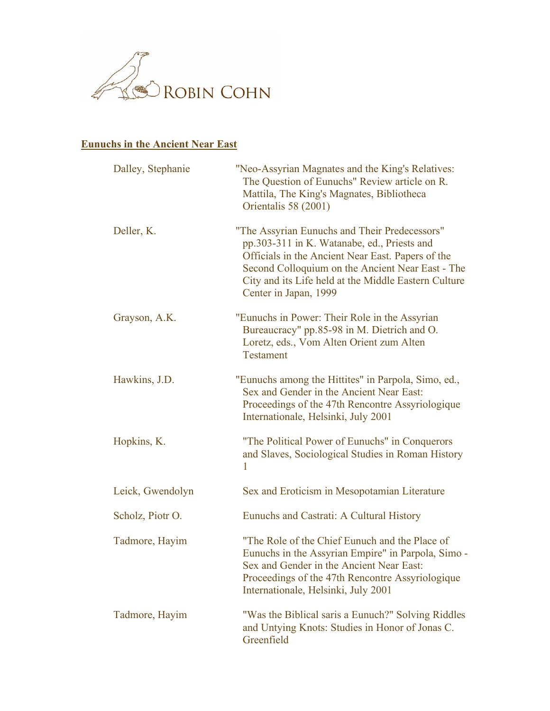

## **Eunuchs in the Ancient Near East**

| Dalley, Stephanie | "Neo-Assyrian Magnates and the King's Relatives:<br>The Question of Eunuchs" Review article on R.<br>Mattila, The King's Magnates, Bibliotheca<br>Orientalis 58 (2001)                                                                                                                 |
|-------------------|----------------------------------------------------------------------------------------------------------------------------------------------------------------------------------------------------------------------------------------------------------------------------------------|
| Deller, K.        | "The Assyrian Eunuchs and Their Predecessors"<br>pp.303-311 in K. Watanabe, ed., Priests and<br>Officials in the Ancient Near East. Papers of the<br>Second Colloquium on the Ancient Near East - The<br>City and its Life held at the Middle Eastern Culture<br>Center in Japan, 1999 |
| Grayson, A.K.     | "Eunuchs in Power: Their Role in the Assyrian<br>Bureaucracy" pp.85-98 in M. Dietrich and O.<br>Loretz, eds., Vom Alten Orient zum Alten<br><b>Testament</b>                                                                                                                           |
| Hawkins, J.D.     | "Eunuchs among the Hittites" in Parpola, Simo, ed.,<br>Sex and Gender in the Ancient Near East:<br>Proceedings of the 47th Rencontre Assyriologique<br>Internationale, Helsinki, July 2001                                                                                             |
| Hopkins, K.       | "The Political Power of Eunuchs" in Conquerors<br>and Slaves, Sociological Studies in Roman History<br>1                                                                                                                                                                               |
| Leick, Gwendolyn  | Sex and Eroticism in Mesopotamian Literature                                                                                                                                                                                                                                           |
| Scholz, Piotr O.  | Eunuchs and Castrati: A Cultural History                                                                                                                                                                                                                                               |
| Tadmore, Hayim    | "The Role of the Chief Eunuch and the Place of<br>Eunuchs in the Assyrian Empire" in Parpola, Simo -<br>Sex and Gender in the Ancient Near East:<br>Proceedings of the 47th Rencontre Assyriologique<br>Internationale, Helsinki, July 2001                                            |
| Tadmore, Hayim    | "Was the Biblical saris a Eunuch?" Solving Riddles<br>and Untying Knots: Studies in Honor of Jonas C.<br>Greenfield                                                                                                                                                                    |